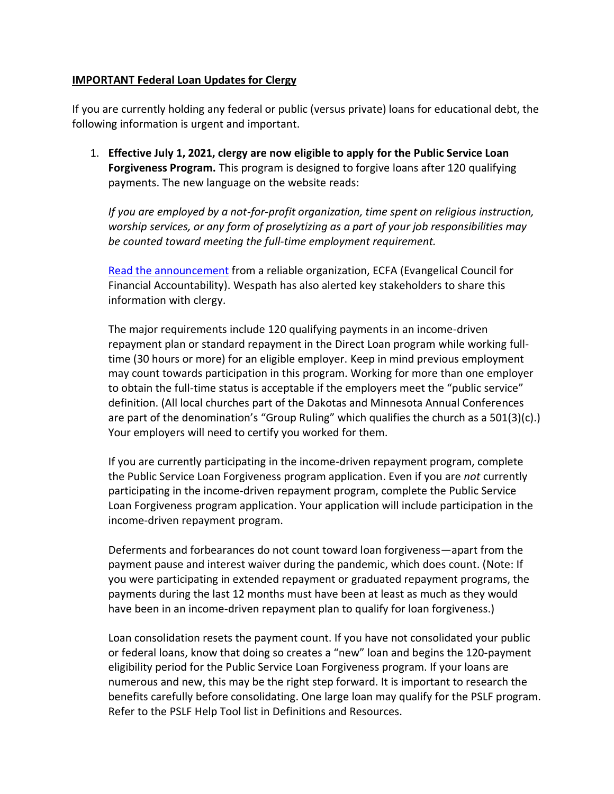## **IMPORTANT Federal Loan Updates for Clergy**

If you are currently holding any federal or public (versus private) loans for educational debt, the following information is urgent and important.

1. **Effective July 1, 2021, clergy are now eligible to apply for the Public Service Loan Forgiveness Program.** This program is designed to forgive loans after 120 qualifying payments. The new language on the website reads:

*If you are employed by a not-for-profit organization, time spent on religious instruction, worship services, or any form of proselytizing as a part of your job responsibilities may be counted toward meeting the full-time employment requirement.*

[Read the announcement](https://www.ecfa.org/Content/Workers-for-Religious-Nonprofits-May-Now-Qualify-for-Public-Service-Loan-Forgiveness) from a reliable organization, ECFA (Evangelical Council for Financial Accountability). Wespath has also alerted key stakeholders to share this information with clergy.

The major requirements include 120 qualifying payments in an income-driven repayment plan or standard repayment in the Direct Loan program while working fulltime (30 hours or more) for an eligible employer. Keep in mind previous employment may count towards participation in this program. Working for more than one employer to obtain the full-time status is acceptable if the employers meet the "public service" definition. (All local churches part of the Dakotas and Minnesota Annual Conferences are part of the denomination's "Group Ruling" which qualifies the church as a 501(3)(c).) Your employers will need to certify you worked for them.

If you are currently participating in the income-driven repayment program, complete the Public Service Loan Forgiveness program application. Even if you are *not* currently participating in the income-driven repayment program, complete the Public Service Loan Forgiveness program application. Your application will include participation in the income-driven repayment program.

Deferments and forbearances do not count toward loan forgiveness—apart from the payment pause and interest waiver during the pandemic, which does count. (Note: If you were participating in extended repayment or graduated repayment programs, the payments during the last 12 months must have been at least as much as they would have been in an income-driven repayment plan to qualify for loan forgiveness.)

Loan consolidation resets the payment count. If you have not consolidated your public or federal loans, know that doing so creates a "new" loan and begins the 120-payment eligibility period for the Public Service Loan Forgiveness program. If your loans are numerous and new, this may be the right step forward. It is important to research the benefits carefully before consolidating. One large loan may qualify for the PSLF program. Refer to the PSLF Help Tool list in Definitions and Resources.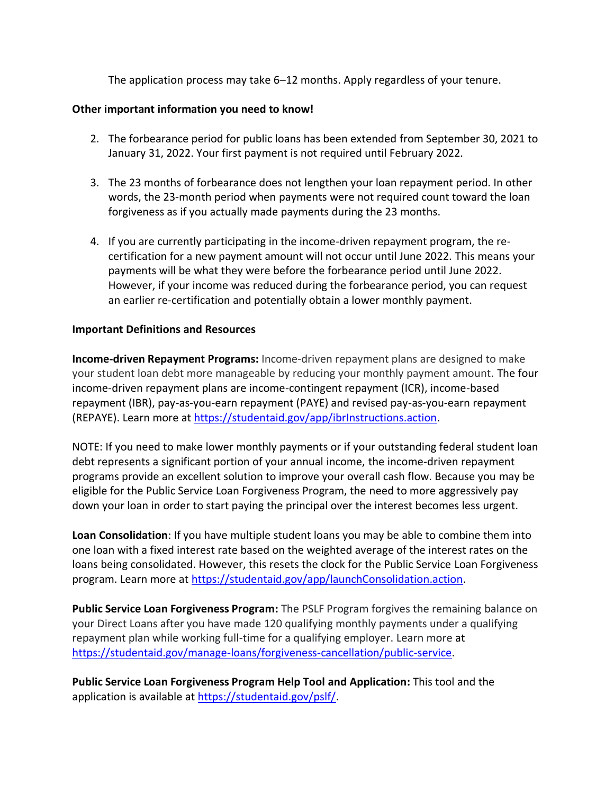The application process may take 6–12 months. Apply regardless of your tenure.

## **Other important information you need to know!**

- 2. The forbearance period for public loans has been extended from September 30, 2021 to January 31, 2022. Your first payment is not required until February 2022.
- 3. The 23 months of forbearance does not lengthen your loan repayment period. In other words, the 23-month period when payments were not required count toward the loan forgiveness as if you actually made payments during the 23 months.
- 4. If you are currently participating in the income-driven repayment program, the recertification for a new payment amount will not occur until June 2022. This means your payments will be what they were before the forbearance period until June 2022. However, if your income was reduced during the forbearance period, you can request an earlier re-certification and potentially obtain a lower monthly payment.

## **Important Definitions and Resources**

**Income-driven Repayment Programs:** Income-driven repayment plans are designed to make your student loan debt more manageable by reducing your monthly payment amount. The four income-driven repayment plans are income-contingent repayment (ICR), income-based repayment (IBR), pay-as-you-earn repayment (PAYE) and revised pay-as-you-earn repayment (REPAYE). Learn more at [https://studentaid.gov/app/ibrInstructions.action.](https://studentaid.gov/app/ibrInstructions.action)

NOTE: If you need to make lower monthly payments or if your outstanding federal student loan debt represents a significant portion of your annual income, the income-driven repayment programs provide an excellent solution to improve your overall cash flow. Because you may be eligible for the Public Service Loan Forgiveness Program, the need to more aggressively pay down your loan in order to start paying the principal over the interest becomes less urgent.

**Loan Consolidation**: If you have multiple student loans you may be able to combine them into one loan with a fixed interest rate based on the weighted average of the interest rates on the loans being consolidated. However, this resets the clock for the Public Service Loan Forgiveness program. Learn more at [https://studentaid.gov/app/launchConsolidation.action.](https://studentaid.gov/app/launchConsolidation.action)

**Public Service Loan Forgiveness Program:** The PSLF Program forgives the remaining balance on your Direct Loans after you have made 120 qualifying monthly payments under a qualifying repayment plan while working full-time for a qualifying employer. Learn more at [https://studentaid.gov/manage-loans/forgiveness-cancellation/public-service.](https://studentaid.gov/manage-loans/forgiveness-cancellation/public-service)

**Public Service Loan Forgiveness Program Help Tool and Application:** This tool and the application is available at [https://studentaid.gov/pslf/.](https://studentaid.gov/pslf/)